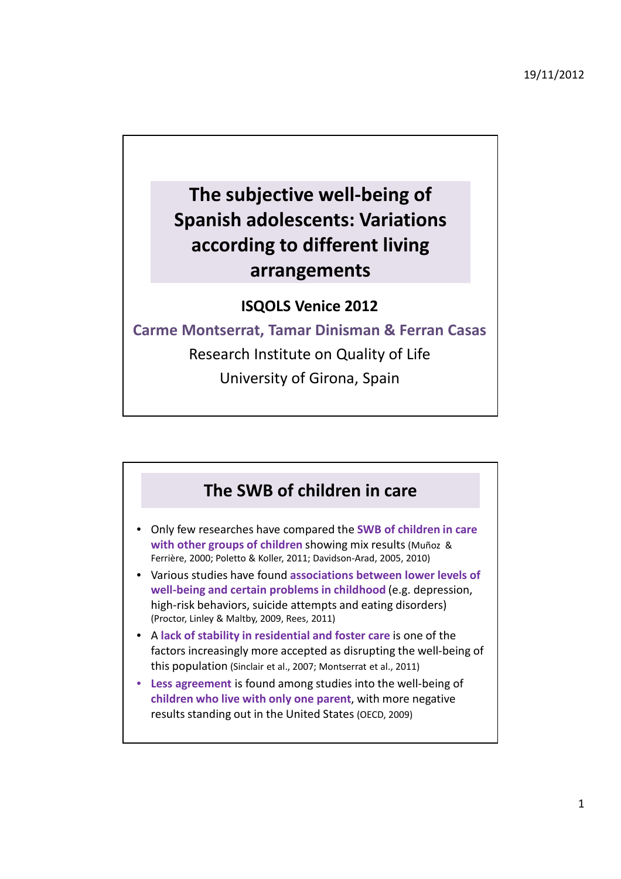19/11/2012

## **The subjective well-being of Spanish adolescents: Variations according to different living arrangements**

## **ISQOLS Venice 2012**

**Carme Montserrat, Tamar Dinisman & Ferran Casas** Research Institute on Quality of Life University of Girona, Spain

## **The SWB of children in care**

- Only few researches have compared the **SWB of children in care with other groups of children** showing mix results (Muñoz & Ferrière, 2000; Poletto & Koller, 2011; Davidson-Arad, 2005, 2010)
- Various studies have found **associations between lower levels of well-being and certain problems in childhood** (e.g. depression, high-risk behaviors, suicide attempts and eating disorders) (Proctor, Linley & Maltby, 2009, Rees, 2011)
- A **lack of stability in residential and foster care** is one of the factors increasingly more accepted as disrupting the well-being of this population (Sinclair et al., 2007; Montserrat et al., 2011)
- **Less agreement** is found among studies into the well-being of **children who live with only one parent**, with more negative results standing out in the United States (OECD, 2009)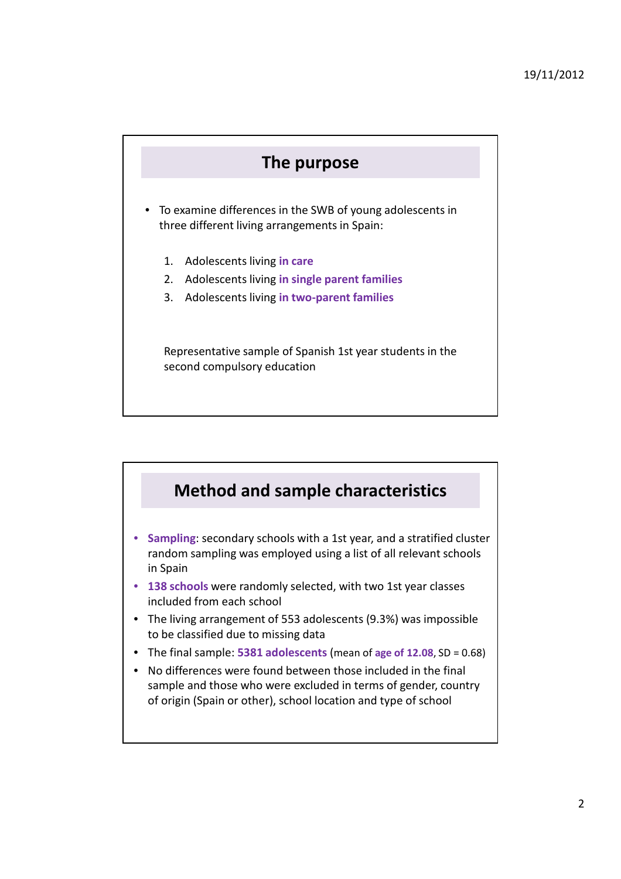

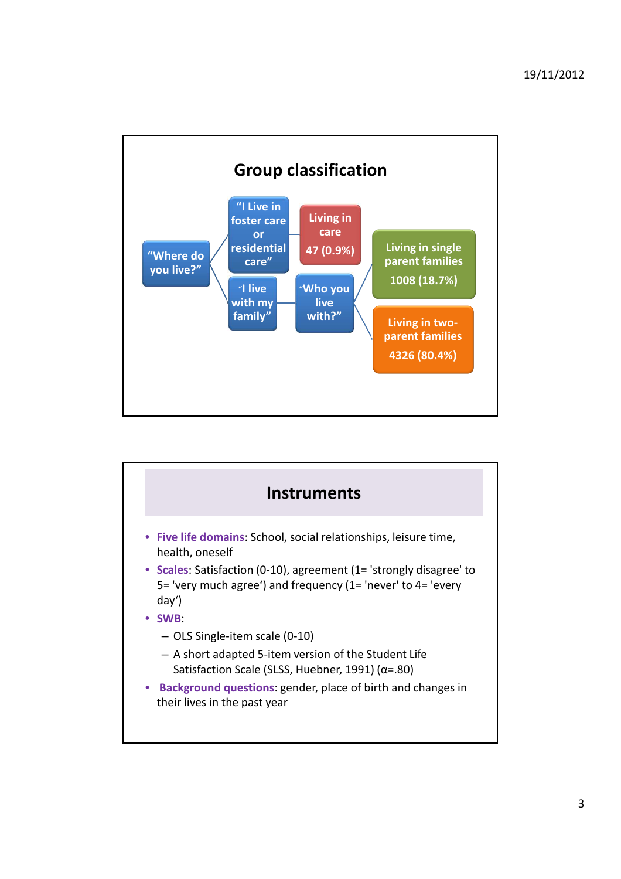

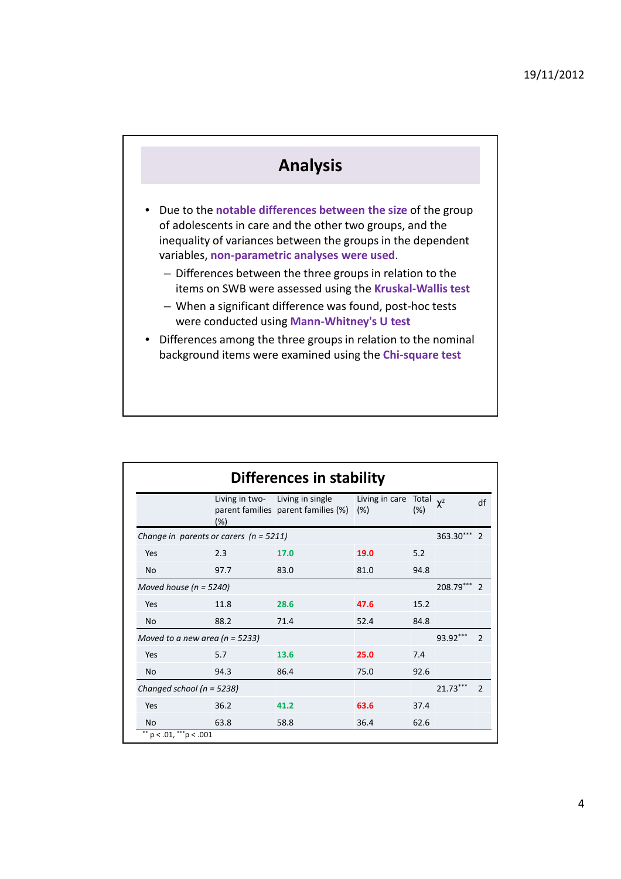

| <b>Differences in stability</b>          |                                    |                                                                        |                       |                       |            |                          |  |  |
|------------------------------------------|------------------------------------|------------------------------------------------------------------------|-----------------------|-----------------------|------------|--------------------------|--|--|
|                                          | (%)                                | Living in two- Living in single<br>parent families parent families (%) | Living in care<br>(%) | Total $\chi^2$<br>(%) |            | df                       |  |  |
| Change in parents or carers $(n = 5211)$ |                                    |                                                                        |                       |                       | 363.30***  | $\mathfrak{p}$           |  |  |
| Yes                                      | 2.3                                | 17.0                                                                   | 19.0                  | 5.2                   |            |                          |  |  |
| <b>No</b>                                | 97.7                               | 83.0                                                                   | 81.0                  | 94.8                  |            |                          |  |  |
| Moved house ( $n = 5240$ )               |                                    |                                                                        |                       |                       | 208.79***  | $\mathcal{P}$            |  |  |
| Yes                                      | 11.8                               | 28.6                                                                   | 47.6                  | 15.2                  |            |                          |  |  |
| <b>No</b>                                | 88.2                               | 71.4                                                                   | 52.4                  | 84.8                  |            |                          |  |  |
|                                          | Moved to a new area ( $n = 5233$ ) |                                                                        |                       |                       | 93.92***   | $\mathfrak{p}$           |  |  |
| Yes                                      | 5.7                                | 13.6                                                                   | 25.0                  | 7.4                   |            |                          |  |  |
| <b>No</b>                                | 94.3                               | 86.4                                                                   | 75.0                  | 92.6                  |            |                          |  |  |
| Changed school ( $n = 5238$ )            |                                    |                                                                        |                       |                       | $21.73***$ | $\overline{\phantom{0}}$ |  |  |
| Yes                                      | 36.2                               | 41.2                                                                   | 63.6                  | 37.4                  |            |                          |  |  |
| <b>No</b>                                | 63.8                               | 58.8                                                                   | 36.4                  | 62.6                  |            |                          |  |  |
| $p < .01,$ ***p < .001                   |                                    |                                                                        |                       |                       |            |                          |  |  |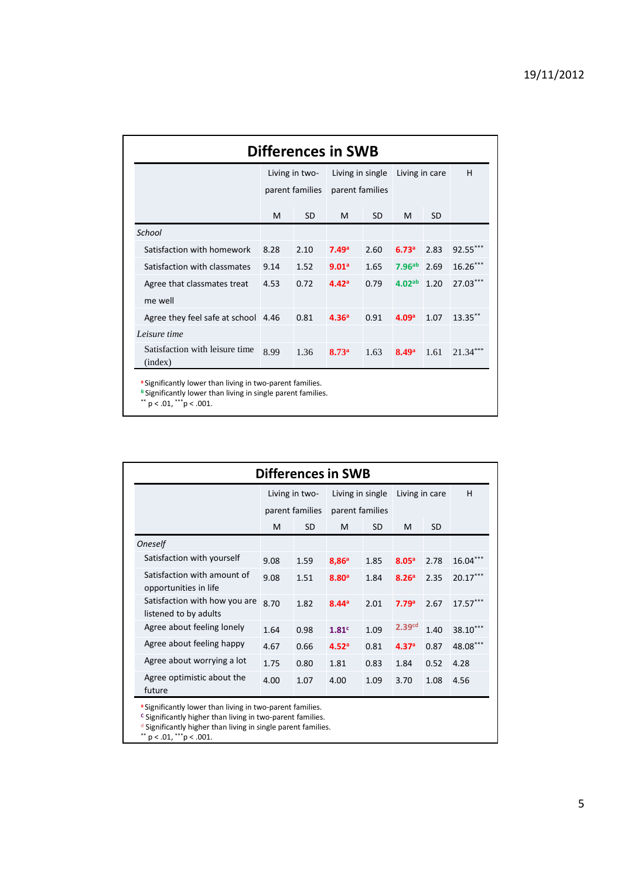| <b>Differences in SWB</b>                 |                                   |           |                                     |           |                   |           |            |  |  |
|-------------------------------------------|-----------------------------------|-----------|-------------------------------------|-----------|-------------------|-----------|------------|--|--|
|                                           | Living in two-<br>parent families |           | Living in single<br>parent families |           | Living in care    |           | н          |  |  |
|                                           |                                   |           |                                     |           |                   |           |            |  |  |
|                                           | м                                 | <b>SD</b> | M                                   | <b>SD</b> | M                 | <b>SD</b> |            |  |  |
| School                                    |                                   |           |                                     |           |                   |           |            |  |  |
| Satisfaction with homework                | 8.28                              | 2.10      | 7.49a                               | 2.60      | 6.73a             | 2.83      | 92.55***   |  |  |
| Satisfaction with classmates              | 9.14                              | 1.52      | 9.01 <sup>a</sup>                   | 1.65      | 7.96ab            | 2.69      | $16.26***$ |  |  |
| Agree that classmates treat               | 4.53                              | 0.72      | 4.42 <sup>a</sup>                   | 0.79      | $4.02^{ab}$ 1.20  |           | 27.03***   |  |  |
| me well                                   |                                   |           |                                     |           |                   |           |            |  |  |
| Agree they feel safe at school 4.46       |                                   | 0.81      | 4.36 <sup>a</sup>                   | 0.91      | 4.09 <sup>a</sup> | 1.07      | $13.35**$  |  |  |
| Leisure time                              |                                   |           |                                     |           |                   |           |            |  |  |
| Satisfaction with leisure time<br>(index) | 8.99                              | 1.36      | 8.73 <sup>a</sup>                   | 1.63      | 8.49 <sup>a</sup> | 1.61      | $21.34***$ |  |  |

**B** Significantly lower than living in single parent families.

\*\*  $p < .01,$  \*\*\* $p < .001.$ 

| <b>Differences in SWB</b>                              |                 |           |                   |           |                    |           |            |  |  |
|--------------------------------------------------------|-----------------|-----------|-------------------|-----------|--------------------|-----------|------------|--|--|
|                                                        | Living in two-  |           | Living in single  |           | Living in care     |           | н          |  |  |
|                                                        | parent families |           | parent families   |           |                    |           |            |  |  |
|                                                        | M               | <b>SD</b> | M                 | <b>SD</b> | M                  | <b>SD</b> |            |  |  |
| <b>Oneself</b>                                         |                 |           |                   |           |                    |           |            |  |  |
| Satisfaction with yourself                             | 9.08            | 1.59      | 8,86 <sup>a</sup> | 1.85      | 8.05 <sup>a</sup>  | 2.78      | $16.04$ ** |  |  |
| Satisfaction with amount of<br>opportunities in life   | 9.08            | 1.51      | 8.80 <sup>a</sup> | 1.84      | 8.26 <sup>a</sup>  | 2.35      | $20.17***$ |  |  |
| Satisfaction with how you are<br>listened to by adults | 8.70            | 1.82      | 8.44 <sup>a</sup> | 2.01      | 7.79 <sup>a</sup>  | 2.67      | $17.57***$ |  |  |
| Agree about feeling lonely                             | 1.64            | 0.98      | 1.81 <sup>c</sup> | 1.09      | 2.39 <sup>cd</sup> | 1.40      | 38.10***   |  |  |
| Agree about feeling happy                              | 4.67            | 0.66      | 4.52 <sup>a</sup> | 0.81      | 4.37 <sup>a</sup>  | 0.87      | 48.08***   |  |  |
| Agree about worrying a lot                             | 1.75            | 0.80      | 1.81              | 0.83      | 1.84               | 0.52      | 4.28       |  |  |
| Agree optimistic about the<br>future                   | 4.00            | 1.07      | 4.00              | 1.09      | 3.70               | 1.08      | 4.56       |  |  |

**<sup>a</sup>**Significantly lower than living in two-parent families.

**<sup>C</sup>** Significantly higher than living in two-parent families.

<sup>d</sup> Significantly higher than living in single parent families.

\*\*  $p < .01,$  \*\*\* $p < .001.$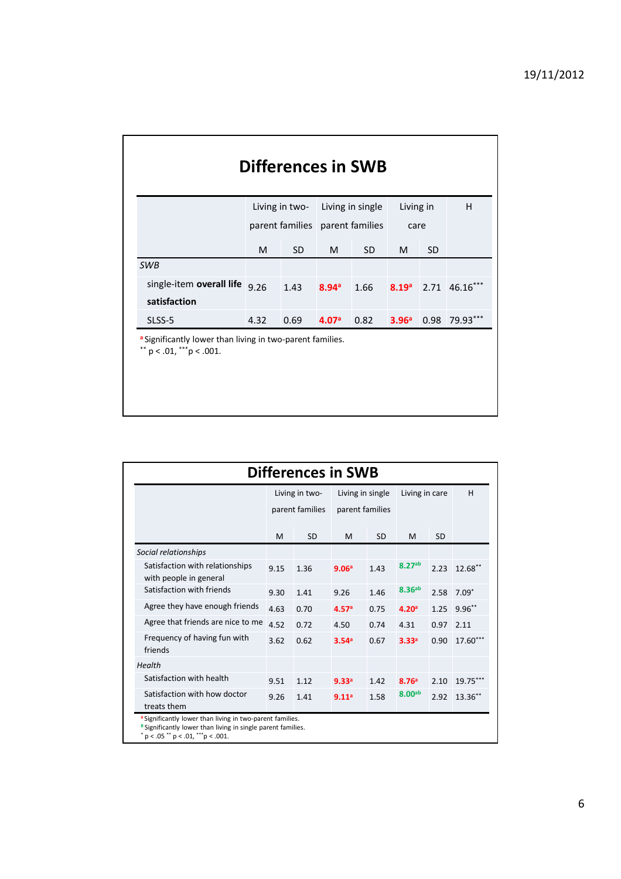|                                          |                                 | Living in two- Living in single |                   |           | Living in |           | H             |
|------------------------------------------|---------------------------------|---------------------------------|-------------------|-----------|-----------|-----------|---------------|
|                                          | parent families parent families |                                 |                   |           | care      |           |               |
|                                          | M                               | <b>SD</b>                       | M                 | <b>SD</b> | M         | <b>SD</b> |               |
| <b>SWB</b>                               |                                 |                                 |                   |           |           |           |               |
| single-item overall life<br>satisfaction | 9.26                            | 1.43                            | 8.94 <sup>a</sup> | 1.66      | 8.19a     |           | 2.71 46.16*** |
| SLSS-5                                   | 4.32                            | 0.69                            | 4.07 <sup>a</sup> | 0.82      | 3.96a     |           | 0.98 79.93*** |

| <b>Differences in SWB</b>                                 |                 |           |                   |           |                    |           |            |  |
|-----------------------------------------------------------|-----------------|-----------|-------------------|-----------|--------------------|-----------|------------|--|
|                                                           | Living in two-  |           | Living in single  |           | Living in care     |           | H          |  |
|                                                           | parent families |           | parent families   |           |                    |           |            |  |
|                                                           | M               | <b>SD</b> | M                 | <b>SD</b> | M                  | <b>SD</b> |            |  |
| Social relationships                                      |                 |           |                   |           |                    |           |            |  |
| Satisfaction with relationships<br>with people in general | 9.15            | 1.36      | 9.06 <sup>a</sup> | 1.43      | 8.27 <sub>ab</sub> | 2.23      | $12.68$ ** |  |
| Satisfaction with friends                                 | 9.30            | 1.41      | 9.26              | 1.46      | 8.36 <sup>ab</sup> | 2.58      | $7.09*$    |  |
| Agree they have enough friends                            | 4.63            | 0.70      | 4.57 <sup>a</sup> | 0.75      | 4.20 <sup>a</sup>  | 1.25      | $9.96***$  |  |
| Agree that friends are nice to me                         | 4.52            | 0.72      | 4.50              | 0.74      | 4.31               | 0.97      | 2.11       |  |
| Frequency of having fun with<br>friends                   | 3.62            | 0.62      | 3.54 <sup>a</sup> | 0.67      | 3.33 <sup>a</sup>  | 0.90      | 17.60***   |  |
| Health                                                    |                 |           |                   |           |                    |           |            |  |
| Satisfaction with health                                  | 9.51            | 1.12      | 9.33 <sup>a</sup> | 1.42      | 8.76 <sup>a</sup>  | 2.10      | 19.75***   |  |
| Satisfaction with how doctor<br>treats them               | 9.26            | 1.41      | 9.11 <sup>a</sup> | 1.58      | 8.00 <sub>ab</sub> | 2.92      | 13.36**    |  |